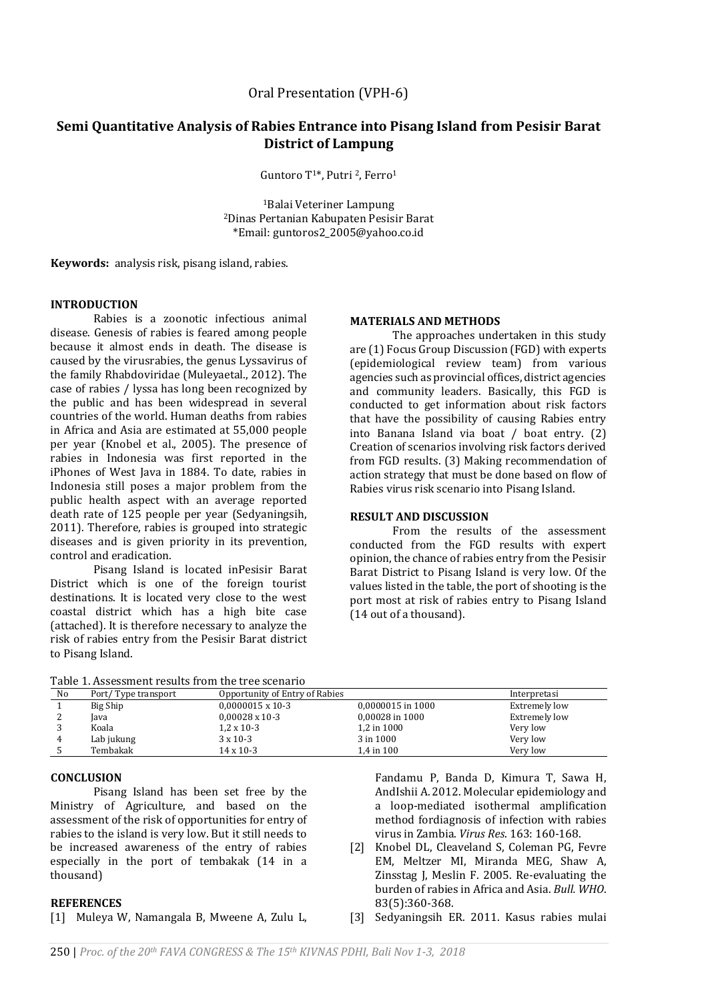# **Semi Quantitative Analysis of Rabies Entrance into Pisang Island from Pesisir Barat District of Lampung**

Guntoro T1\*, Putri 2, Ferro<sup>1</sup>

<sup>1</sup>Balai Veteriner Lampung <sup>2</sup>Dinas Pertanian Kabupaten Pesisir Barat \*Email: guntoros2\_2005@yahoo.co.id

**Keywords:** analysis risk, pisang island, rabies.

### **INTRODUCTION**

Rabies is a zoonotic infectious animal disease. Genesis of rabies is feared among people because it almost ends in death. The disease is caused by the virusrabies, the genus Lyssavirus of the family Rhabdoviridae (Muleyaetal., 2012). The case of rabies / lyssa has long been recognized by the public and has been widespread in several countries of the world. Human deaths from rabies in Africa and Asia are estimated at 55,000 people per year (Knobel et al., 2005). The presence of rabies in Indonesia was first reported in the iPhones of West Java in 1884. To date, rabies in Indonesia still poses a major problem from the public health aspect with an average reported death rate of 125 people per year (Sedyaningsih, 2011). Therefore, rabies is grouped into strategic diseases and is given priority in its prevention, control and eradication.

Pisang Island is located inPesisir Barat District which is one of the foreign tourist destinations. It is located very close to the west coastal district which has a high bite case (attached). It is therefore necessary to analyze the risk of rabies entry from the Pesisir Barat district to Pisang Island.

| Table 1. Assessment results from the tree scenario |
|----------------------------------------------------|
|----------------------------------------------------|

#### **MATERIALS AND METHODS**

The approaches undertaken in this study are (1) Focus Group Discussion (FGD) with experts (epidemiological review team) from various agencies such as provincial offices, district agencies and community leaders. Basically, this FGD is conducted to get information about risk factors that have the possibility of causing Rabies entry into Banana Island via boat / boat entry. (2) Creation of scenarios involving risk factors derived from FGD results. (3) Making recommendation of action strategy that must be done based on flow of Rabies virus risk scenario into Pisang Island.

## **RESULT AND DISCUSSION**

From the results of the assessment conducted from the FGD results with expert opinion, the chance of rabies entry from the Pesisir Barat District to Pisang Island is very low. Of the values listed in the table, the port of shooting is the port most at risk of rabies entry to Pisang Island (14 out of a thousand).

| No | Port/Type transport | Opportunity of Entry of Rabies |                   | Interpretasi  |
|----|---------------------|--------------------------------|-------------------|---------------|
|    | Big Ship            | $0.0000015 \times 10-3$        | 0,0000015 in 1000 | Extremely low |
|    | lava                | $0,00028 \times 10-3$          | 0,00028 in 1000   | Extremely low |
|    | Koala               | $1.2 \times 10-3$              | 1,2 in 1000       | Very low      |
| 4  | Lab jukung          | $3 \times 10 - 3$              | 3 in 1000         | Very low      |
|    | Tembakak            | $14 \times 10 - 3$             | 1.4 in 100        | Very low      |

# **CONCLUSION**

Pisang Island has been set free by the Ministry of Agriculture, and based on the assessment of the risk of opportunities for entry of rabies to the island is very low. But it still needs to be increased awareness of the entry of rabies especially in the port of tembakak (14 in a thousand)

### **REFERENCES**

[1] Muleya W, Namangala B, Mweene A, Zulu L,

Fandamu P, Banda D, Kimura T, Sawa H, AndIshii A. 2012. Molecular epidemiology and a loop-mediated isothermal amplification method fordiagnosis of infection with rabies virus in Zambia. *Virus Res*. 163: 160-168.

[2] Knobel DL, Cleaveland S, Coleman PG, Fevre EM, Meltzer MI, Miranda MEG, Shaw A, Zinsstag J, Meslin F. 2005. Re-evaluating the burden of rabies in Africa and Asia. *Bull. WHO*. 83(5):360-368.

[3] Sedyaningsih ER. 2011. Kasus rabies mulai